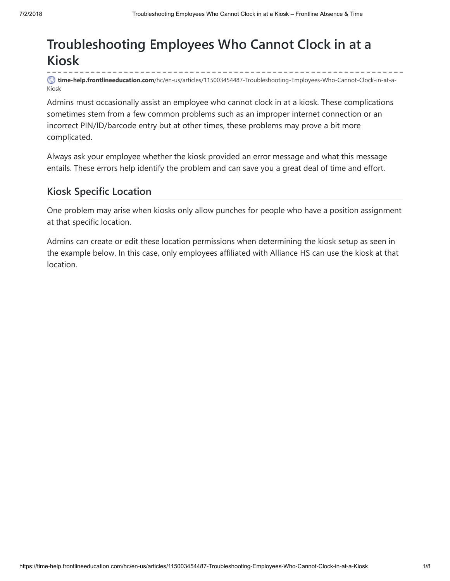# **Troubleshooting Employees Who Cannot Clock in at a Kiosk**

**time-help.frontlineeducation.com**[/hc/en-us/articles/115003454487-Troubleshooting-Employees-Who-Cannot-Clock-in-at-a-](https://time-help.frontlineeducation.com/hc/en-us/articles/115003454487-Troubleshooting-Employees-Who-Cannot-Clock-in-at-a-Kiosk)Kiosk

Admins must occasionally assist an employee who cannot clock in at a kiosk. These complications sometimes stem from a few common problems such as an improper internet connection or an incorrect PIN/ID/barcode entry but at other times, these problems may prove a bit more complicated.

Always ask your employee whether the kiosk provided an error message and what this message entails. These errors help identify the problem and can save you a great deal of time and effort.

# **Kiosk Specific Location**

One problem may arise when kiosks only allow punches for people who have a position assignment at that specific location.

Admins can create or edit these location permissions when determining the kiosk [setup](https://time-help.frontlineeducation.com/hc/en-us/articles/115003452527) as seen in the example below. In this case, only employees affiliated with Alliance HS can use the kiosk at that location.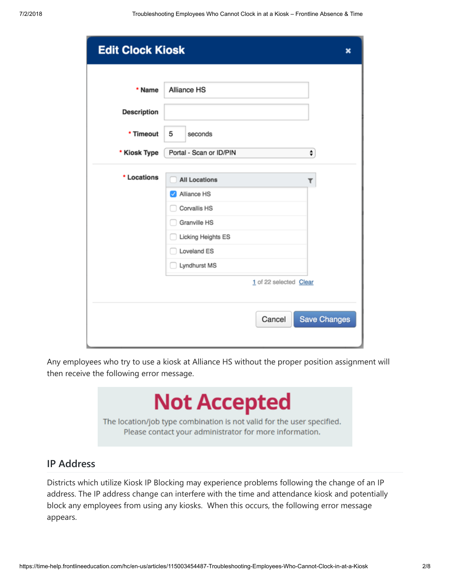| <b>Edit Clock Kiosk</b> |                              | ×                   |
|-------------------------|------------------------------|---------------------|
| * Name                  | Alliance HS                  |                     |
|                         |                              |                     |
| <b>Description</b>      |                              |                     |
| * Timeout               | 5<br>seconds                 |                     |
| * Kiosk Type            | Portal - Scan or ID/PIN<br>۰ |                     |
| * Locations             | <b>All Locations</b><br>۳    |                     |
|                         | Alliance HS                  |                     |
|                         | Corvallis HS                 |                     |
|                         | Granville HS                 |                     |
|                         | Licking Heights ES           |                     |
|                         | Loveland ES                  |                     |
|                         | Lyndhurst MS                 |                     |
|                         | 1 of 22 selected Clear       |                     |
|                         |                              |                     |
|                         | Cancel                       | <b>Save Changes</b> |
|                         |                              |                     |

Any employees who try to use a kiosk at Alliance HS without the proper position assignment will then receive the following error message.

# **Not Accepted**

The location/job type combination is not valid for the user specified. Please contact your administrator for more information.

# **IP Address**

Districts which utilize Kiosk IP Blocking may experience problems following the change of an IP address. The IP address change can interfere with the time and attendance kiosk and potentially block any employees from using any kiosks. When this occurs, the following error message appears.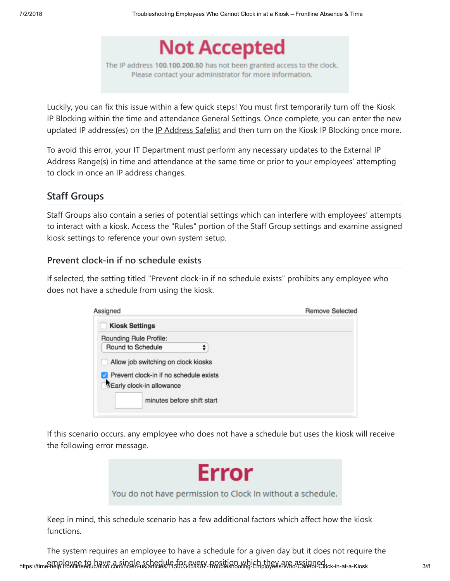

The IP address 100.100.200.50 has not been granted access to the clock. Please contact your administrator for more information.

Luckily, you can fix this issue within a few quick steps! You must first temporarily turn off the Kiosk IP Blocking within the time and attendance General Settings. Once complete, you can enter the new updated IP address(es) on the IP [Address](https://time-help.frontlineeducation.com/hc/en-us/articles/115003568868) Safelist and then turn on the Kiosk IP Blocking once more.

To avoid this error, your IT Department must perform any necessary updates to the External IP Address Range(s) in time and attendance at the same time or prior to your employees' attempting to clock in once an IP address changes.

# **Staff Groups**

Staff Groups also contain a series of potential settings which can interfere with employees' attempts to interact with a kiosk. Access the "Rules" portion of the Staff Group settings and examine assigned kiosk settings to reference your own system setup.

#### **Prevent clock-in if no schedule exists**

If selected, the setting titled "Prevent clock-in if no schedule exists" prohibits any employee who does not have a schedule from using the kiosk.

| Assigned                               | <b>Remove Selected</b> |
|----------------------------------------|------------------------|
| <b>Kiosk Settings</b>                  |                        |
| Rounding Rule Profile:                 |                        |
| Round to Schedule                      |                        |
| Allow job switching on clock kiosks    |                        |
| Prevent clock-in if no schedule exists |                        |
| XEarly clock-in allowance              |                        |
| minutes before shift start             |                        |
|                                        |                        |

If this scenario occurs, any employee who does not have a schedule but uses the kiosk will receive the following error message.



You do not have permission to Clock In without a schedule.

Keep in mind, this schedule scenario has a few additional factors which affect how the kiosk functions.

https://time-help.frontlineeducation.com/hc/en-us/articles/115003454487-Troubleshooting-Employees-Who-Cannot-Clock-in-at-a-Kiosk 3/8<br>https://time-help.frontlineeducation.com/hc/en-us/articles/115003454487-Troubleshooting-E The system requires an employee to have a schedule for a given day but it does not require the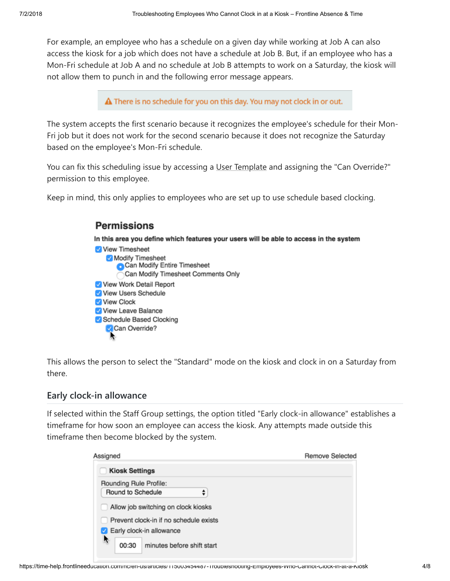For example, an employee who has a schedule on a given day while working at Job A can also access the kiosk for a job which does not have a schedule at Job B. But, if an employee who has a Mon-Fri schedule at Job A and no schedule at Job B attempts to work on a Saturday, the kiosk will not allow them to punch in and the following error message appears.

 $\triangle$  There is no schedule for you on this day. You may not clock in or out.

The system accepts the first scenario because it recognizes the employee's schedule for their Mon-Fri job but it does not work for the second scenario because it does not recognize the Saturday based on the employee's Mon-Fri schedule.

You can fix this scheduling issue by accessing a User [Template](https://time-help.frontlineeducation.com/hc/en-us/articles/115003452567) and assigning the "Can Override?" permission to this employee.

Keep in mind, this only applies to employees who are set up to use schedule based clocking.

| <b>Permissions</b>                              |                                                                                        |
|-------------------------------------------------|----------------------------------------------------------------------------------------|
|                                                 | In this area you define which features your users will be able to access in the system |
| View Timesheet                                  |                                                                                        |
| Modify Timesheet<br>Can Modify Entire Timesheet |                                                                                        |
| Can Modify Timesheet Comments Only              |                                                                                        |
| V View Work Detail Report                       |                                                                                        |
| V View Users Schedule                           |                                                                                        |
| View Clock                                      |                                                                                        |
| View Leave Balance                              |                                                                                        |
| Schedule Based Clocking                         |                                                                                        |
| Can Override?                                   |                                                                                        |
|                                                 |                                                                                        |

This allows the person to select the "Standard" mode on the kiosk and clock in on a Saturday from there.

#### **Early clock-in allowance**

If selected within the Staff Group settings, the option titled "Early clock-in allowance" establishes a timeframe for how soon an employee can access the kiosk. Any attempts made outside this timeframe then become blocked by the system.

| Assigned                                                                      | <b>Remove Selected</b> |
|-------------------------------------------------------------------------------|------------------------|
| <b>Kiosk Settings</b>                                                         |                        |
| Rounding Rule Profile:                                                        |                        |
| Round to Schedule                                                             |                        |
| Allow job switching on clock kiosks<br>Prevent clock-in if no schedule exists |                        |
| Early clock-in allowance                                                      |                        |
| Y.<br>minutes before shift start<br>00:30                                     |                        |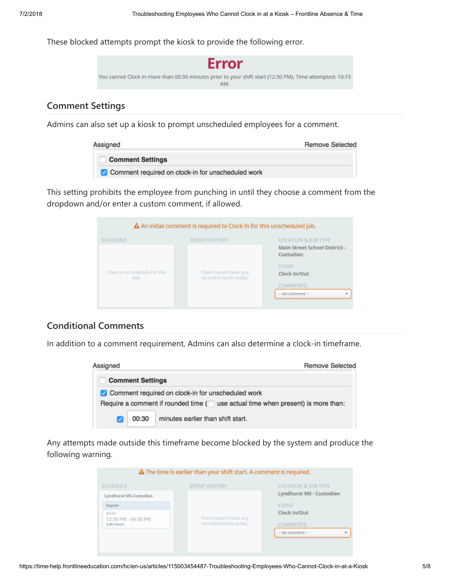These blocked attempts prompt the kiosk to provide the following error.



#### **Comment Settings**

Admins can also set up a kiosk to prompt unscheduled employees for a comment.

| Assigned                                          | <b>Remove Selected</b> |
|---------------------------------------------------|------------------------|
| <b>Comment Settings</b>                           |                        |
| Comment required on clock-in for unscheduled work |                        |

This setting prohibits the employee from punching in until they choose a comment from the dropdown and/or enter a custom comment, if allowed.

|                                       | A An initial comment is required to Clock In for this unscheduled job. |                                            |
|---------------------------------------|------------------------------------------------------------------------|--------------------------------------------|
| <b>SCHEDULE</b>                       | <b>EVENT HISTORY</b>                                                   | LOCATION & JOB TYPE                        |
|                                       |                                                                        | Main Street School District -<br>Custodian |
| There is no schedule for this<br>day. | There haven't been any<br>recorded events today.                       | <b>EVENT</b><br>Clock In/Out               |
|                                       |                                                                        | <b>COMMENTS</b>                            |
|                                       |                                                                        | $-$ No comment $-$                         |
|                                       |                                                                        |                                            |

#### **Conditional Comments**

In addition to a comment requirement, Admins can also determine a clock-in timeframe.



Any attempts made outside this timeframe become blocked by the system and produce the following warning.

| A The time is earlier than your shift start. A comment is required. |                        |                                                 |  |  |  |  |
|---------------------------------------------------------------------|------------------------|-------------------------------------------------|--|--|--|--|
| <b>SCHEDULE</b><br>Lyndhurst MS-Custodian                           | <b>EVENT HISTORY</b>   | LOCATION & JOB TYPE<br>Lyndhurst MS - Custodian |  |  |  |  |
| Regular<br><b>WORK</b><br>12:30 PM - 04:30 PM                       | There haven't been any | <b>EVENT</b><br>Clock In/Out                    |  |  |  |  |
| 4.00 Hours                                                          | recorded events today. | <b>COMMENTS</b><br>$-$ No comment $-$           |  |  |  |  |
|                                                                     |                        |                                                 |  |  |  |  |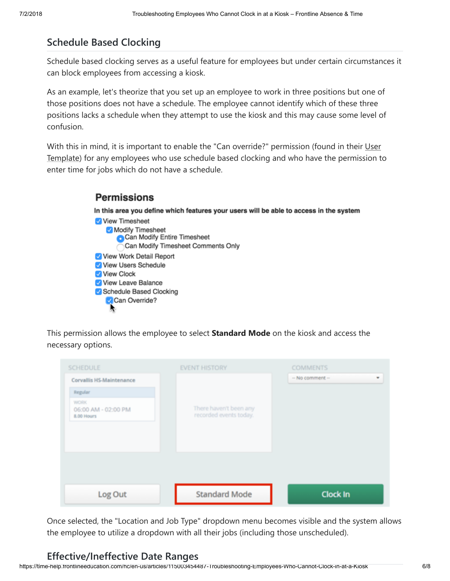# **Schedule Based Clocking**

**Permissions** 

Schedule based clocking serves as a useful feature for employees but under certain circumstances it can block employees from accessing a kiosk.

As an example, let's theorize that you set up an employee to work in three positions but one of those positions does not have a schedule. The employee cannot identify which of these three positions lacks a schedule when they attempt to use the kiosk and this may cause some level of confusion.

With this in mind, it is important to enable the "Can override?" [permission \(found](https://time-help.frontlineeducation.com/hc/en-us/articles/115003452567) in their User Template) for any employees who use schedule based clocking and who have the permission to enter time for jobs which do not have a schedule.

#### In this area you define which features your users will be able to access in the system View Timesheet Modify Timesheet Can Modify Entire Timesheet Can Modify Timesheet Comments Only View Work Detail Report View Users Schedule View Clock View Leave Balance Schedule Based Clocking Can Override?

This permission allows the employee to select **Standard Mode** on the kiosk and access the necessary options.

| <b>SCHEDULE</b>                                  | <b>EVENT HISTORY</b>                             | <b>COMMENTS</b>         |
|--------------------------------------------------|--------------------------------------------------|-------------------------|
| Corvallis HS-Maintenance                         |                                                  | $-$ No comment $-$<br>٠ |
| Regular                                          |                                                  |                         |
| <b>WORK</b><br>06:00 AM - 02:00 PM<br>8.00 Hours | There haven't been any<br>recorded events today. |                         |
| Log Out                                          | <b>Standard Mode</b>                             | <b>Clock In</b>         |

Once selected, the "Location and Job Type" dropdown menu becomes visible and the system allows the employee to utilize a dropdown with all their jobs (including those unscheduled).

# **Effective/Ineffective Date Ranges**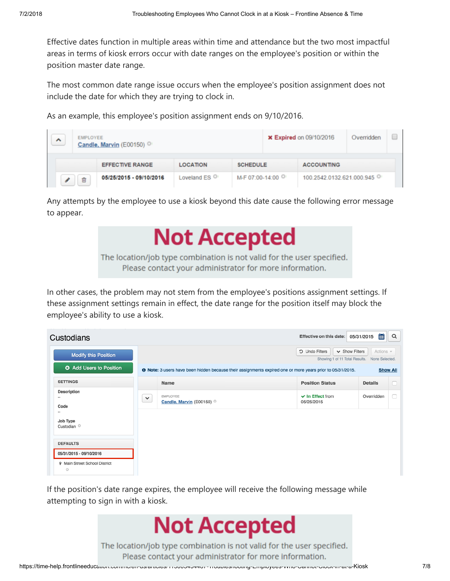Effective dates function in multiple areas within time and attendance but the two most impactful areas in terms of kiosk errors occur with date ranges on the employee's position or within the position master date range.

The most common date range issue occurs when the employee's position assignment does not include the date for which they are trying to clock in.

As an example, this employee's position assignment ends on 9/10/2016.

| ㅅ | <b>EMPLOYEE</b><br>Candle, Marvin (E00150) |                         |                          | <b>x Expired on 09/10/2016</b> | Overridden                |  |  |
|---|--------------------------------------------|-------------------------|--------------------------|--------------------------------|---------------------------|--|--|
|   |                                            | <b>EFFECTIVE RANGE</b>  | <b>LOCATION</b>          | <b>SCHEDULE</b>                | <b>ACCOUNTING</b>         |  |  |
|   |                                            | 05/25/2015 - 09/10/2016 | Loveland ES <sup>O</sup> | M-F 07:00-14:00                | 100.2542.0132.621.000.945 |  |  |

Any attempts by the employee to use a kiosk beyond this date cause the following error message to appear.



In other cases, the problem may not stem from the employee's positions assignment settings. If these assignment settings remain in effect, the date range for the position itself may block the employee's ability to use a kiosk.

| Custodians                                                   |              |                                                                                                                  | Effective on this date: 05/31/2015  | 筁              | Q |  |  |
|--------------------------------------------------------------|--------------|------------------------------------------------------------------------------------------------------------------|-------------------------------------|----------------|---|--|--|
| <b>Modify this Position</b>                                  |              | $\vee$ Show Filters<br>D Undo Filters<br>Showing 1 of 11 Total Results.                                          |                                     |                |   |  |  |
| <b>O</b> Add Users to Position                               |              | <b>O</b> Note: 3 users have been hidden because their assignments expired one or more years prior to 05/31/2015. |                                     |                |   |  |  |
| <b>SETTINGS</b>                                              |              | Name                                                                                                             | <b>Position Status</b>              | <b>Details</b> | n |  |  |
| <b>Description</b><br>$\sim$<br>Code<br>$\scriptstyle\cdots$ | $\checkmark$ | EMPLOYEE<br>Candle, Marvin (E00150)                                                                              | $\vee$ In Effect from<br>05/25/2015 | Overridden     | n |  |  |
| Job Type<br>Custodian <sup>O</sup><br><b>DEFAULTS</b>        |              |                                                                                                                  |                                     |                |   |  |  |
| 05/31/2015 - 09/10/2016                                      |              |                                                                                                                  |                                     |                |   |  |  |
| <b>9</b> Main Street School District<br>$\circ$              |              |                                                                                                                  |                                     |                |   |  |  |

If the position's date range expires, the employee will receive the following message while attempting to sign in with a kiosk.



The location/job type combination is not valid for the user specified. Please contact your administrator for more information.